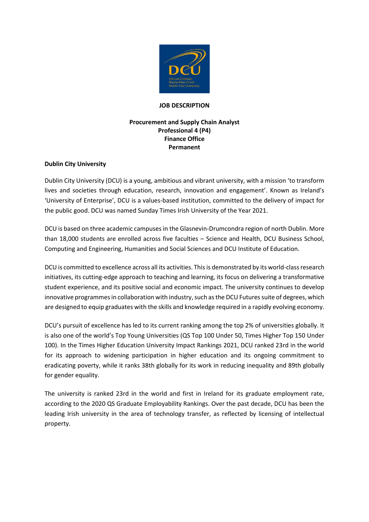

#### **JOB DESCRIPTION**

## **Procurement and Supply Chain Analyst Professional 4 (P4) Finance Office Permanent**

## **Dublin City University**

Dublin City University (DCU) is a young, ambitious and vibrant university, with a mission 'to transform lives and societies through education, research, innovation and engagement'. Known as Ireland's 'University of Enterprise', DCU is a values-based institution, committed to the delivery of impact for the public good. DCU was named Sunday Times Irish University of the Year 2021.

DCU is based on three academic campuses in the Glasnevin-Drumcondra region of north Dublin. More than 18,000 students are enrolled across five faculties – Science and Health, DCU Business School, Computing and Engineering, Humanities and Social Sciences and DCU Institute of Education.

DCU is committed to excellence across all its activities. This is demonstrated by its world-class research initiatives, its cutting-edge approach to teaching and learning, its focus on delivering a transformative student experience, and its positive social and economic impact. The university continues to develop innovative programmes in collaboration with industry, such as the DCU Futures suite of degrees, which are designed to equip graduates with the skills and knowledge required in a rapidly evolving economy.

DCU's pursuit of excellence has led to its current ranking among the top 2% of universities globally. It is also one of the world's Top Young Universities (QS Top 100 Under 50, Times Higher Top 150 Under 100). In the Times Higher Education University Impact Rankings 2021, DCU ranked 23rd in the world for its approach to widening participation in higher education and its ongoing commitment to eradicating poverty, while it ranks 38th globally for its work in reducing inequality and 89th globally for gender equality.

The university is ranked 23rd in the world and first in Ireland for its graduate employment rate, according to the 2020 QS Graduate Employability Rankings. Over the past decade, DCU has been the leading Irish university in the area of technology transfer, as reflected by licensing of intellectual property.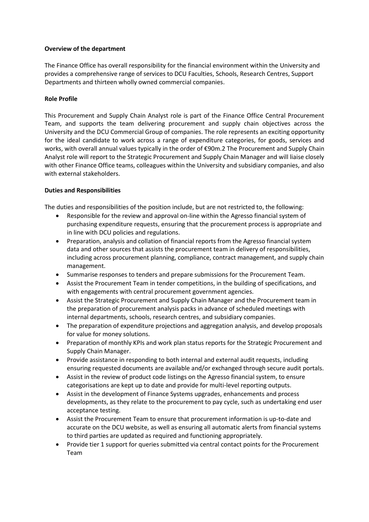## **Overview of the department**

The Finance Office has overall responsibility for the financial environment within the University and provides a comprehensive range of services to DCU Faculties, Schools, Research Centres, Support Departments and thirteen wholly owned commercial companies.

## **Role Profile**

This Procurement and Supply Chain Analyst role is part of the Finance Office Central Procurement Team, and supports the team delivering procurement and supply chain objectives across the University and the DCU Commercial Group of companies. The role represents an exciting opportunity for the ideal candidate to work across a range of expenditure categories, for goods, services and works, with overall annual values typically in the order of €90m.2 The Procurement and Supply Chain Analyst role will report to the Strategic Procurement and Supply Chain Manager and will liaise closely with other Finance Office teams, colleagues within the University and subsidiary companies, and also with external stakeholders.

## **Duties and Responsibilities**

The duties and responsibilities of the position include, but are not restricted to, the following:

- Responsible for the review and approval on-line within the Agresso financial system of purchasing expenditure requests, ensuring that the procurement process is appropriate and in line with DCU policies and regulations.
- Preparation, analysis and collation of financial reports from the Agresso financial system data and other sources that assists the procurement team in delivery of responsibilities, including across procurement planning, compliance, contract management, and supply chain management.
- Summarise responses to tenders and prepare submissions for the Procurement Team.
- Assist the Procurement Team in tender competitions, in the building of specifications, and with engagements with central procurement government agencies.
- Assist the Strategic Procurement and Supply Chain Manager and the Procurement team in the preparation of procurement analysis packs in advance of scheduled meetings with internal departments, schools, research centres, and subsidiary companies.
- The preparation of expenditure projections and aggregation analysis, and develop proposals for value for money solutions.
- Preparation of monthly KPIs and work plan status reports for the Strategic Procurement and Supply Chain Manager.
- Provide assistance in responding to both internal and external audit requests, including ensuring requested documents are available and/or exchanged through secure audit portals.
- Assist in the review of product code listings on the Agresso financial system, to ensure categorisations are kept up to date and provide for multi-level reporting outputs.
- Assist in the development of Finance Systems upgrades, enhancements and process developments, as they relate to the procurement to pay cycle, such as undertaking end user acceptance testing.
- Assist the Procurement Team to ensure that procurement information is up-to-date and accurate on the DCU website, as well as ensuring all automatic alerts from financial systems to third parties are updated as required and functioning appropriately.
- Provide tier 1 support for queries submitted via central contact points for the Procurement Team